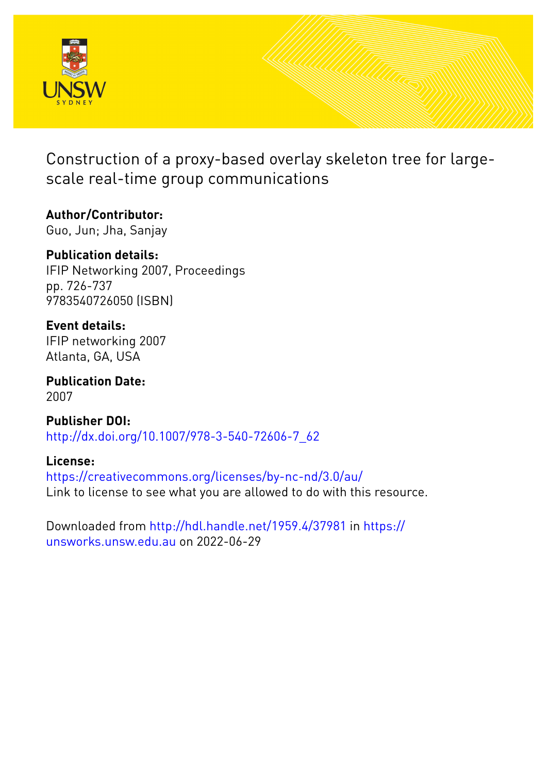

Construction of a proxy-based overlay skeleton tree for largescale real-time group communications

**Author/Contributor:** Guo, Jun; Jha, Sanjay

**Publication details:** IFIP Networking 2007, Proceedings pp. 726-737 9783540726050 (ISBN)

**Event details:** IFIP networking 2007 Atlanta, GA, USA

**Publication Date:** 2007

**Publisher DOI:** [http://dx.doi.org/10.1007/978-3-540-72606-7\\_62](http://dx.doi.org/http://dx.doi.org/10.1007/978-3-540-72606-7_62)

**License:** <https://creativecommons.org/licenses/by-nc-nd/3.0/au/> Link to license to see what you are allowed to do with this resource.

Downloaded from <http://hdl.handle.net/1959.4/37981> in [https://](https://unsworks.unsw.edu.au) [unsworks.unsw.edu.au](https://unsworks.unsw.edu.au) on 2022-06-29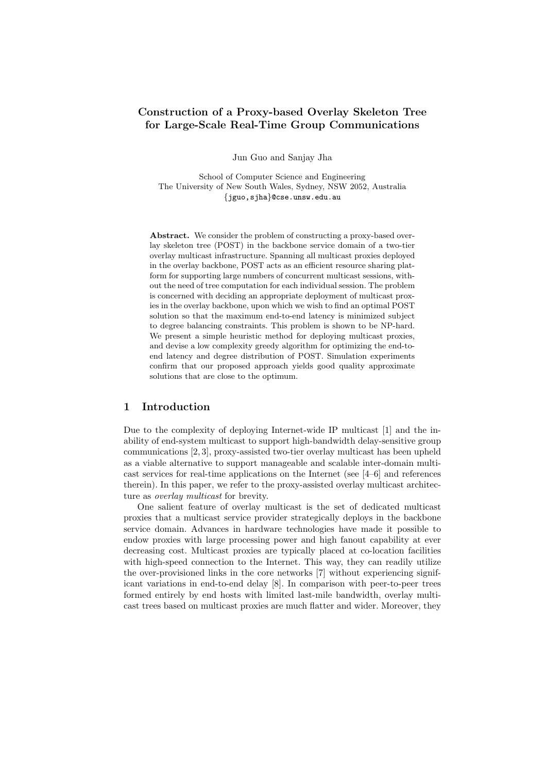# Construction of a Proxy-based Overlay Skeleton Tree for Large-Scale Real-Time Group Communications

Jun Guo and Sanjay Jha

School of Computer Science and Engineering The University of New South Wales, Sydney, NSW 2052, Australia {jguo,sjha}@cse.unsw.edu.au

Abstract. We consider the problem of constructing a proxy-based overlay skeleton tree (POST) in the backbone service domain of a two-tier overlay multicast infrastructure. Spanning all multicast proxies deployed in the overlay backbone, POST acts as an efficient resource sharing platform for supporting large numbers of concurrent multicast sessions, without the need of tree computation for each individual session. The problem is concerned with deciding an appropriate deployment of multicast proxies in the overlay backbone, upon which we wish to find an optimal POST solution so that the maximum end-to-end latency is minimized subject to degree balancing constraints. This problem is shown to be NP-hard. We present a simple heuristic method for deploying multicast proxies, and devise a low complexity greedy algorithm for optimizing the end-toend latency and degree distribution of POST. Simulation experiments confirm that our proposed approach yields good quality approximate solutions that are close to the optimum.

### 1 Introduction

Due to the complexity of deploying Internet-wide IP multicast [1] and the inability of end-system multicast to support high-bandwidth delay-sensitive group communications [2, 3], proxy-assisted two-tier overlay multicast has been upheld as a viable alternative to support manageable and scalable inter-domain multicast services for real-time applications on the Internet (see [4–6] and references therein). In this paper, we refer to the proxy-assisted overlay multicast architecture as *overlay multicast* for brevity.

One salient feature of overlay multicast is the set of dedicated multicast proxies that a multicast service provider strategically deploys in the backbone service domain. Advances in hardware technologies have made it possible to endow proxies with large processing power and high fanout capability at ever decreasing cost. Multicast proxies are typically placed at co-location facilities with high-speed connection to the Internet. This way, they can readily utilize the over-provisioned links in the core networks [7] without experiencing significant variations in end-to-end delay [8]. In comparison with peer-to-peer trees formed entirely by end hosts with limited last-mile bandwidth, overlay multicast trees based on multicast proxies are much flatter and wider. Moreover, they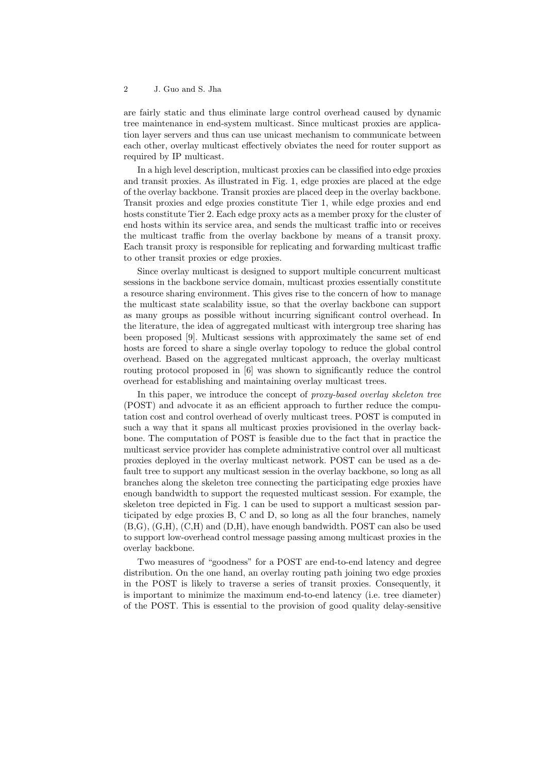are fairly static and thus eliminate large control overhead caused by dynamic tree maintenance in end-system multicast. Since multicast proxies are application layer servers and thus can use unicast mechanism to communicate between each other, overlay multicast effectively obviates the need for router support as required by IP multicast.

In a high level description, multicast proxies can be classified into edge proxies and transit proxies. As illustrated in Fig. 1, edge proxies are placed at the edge of the overlay backbone. Transit proxies are placed deep in the overlay backbone. Transit proxies and edge proxies constitute Tier 1, while edge proxies and end hosts constitute Tier 2. Each edge proxy acts as a member proxy for the cluster of end hosts within its service area, and sends the multicast traffic into or receives the multicast traffic from the overlay backbone by means of a transit proxy. Each transit proxy is responsible for replicating and forwarding multicast traffic to other transit proxies or edge proxies.

Since overlay multicast is designed to support multiple concurrent multicast sessions in the backbone service domain, multicast proxies essentially constitute a resource sharing environment. This gives rise to the concern of how to manage the multicast state scalability issue, so that the overlay backbone can support as many groups as possible without incurring significant control overhead. In the literature, the idea of aggregated multicast with intergroup tree sharing has been proposed [9]. Multicast sessions with approximately the same set of end hosts are forced to share a single overlay topology to reduce the global control overhead. Based on the aggregated multicast approach, the overlay multicast routing protocol proposed in [6] was shown to significantly reduce the control overhead for establishing and maintaining overlay multicast trees.

In this paper, we introduce the concept of proxy-based overlay skeleton tree (POST) and advocate it as an efficient approach to further reduce the computation cost and control overhead of overly multicast trees. POST is computed in such a way that it spans all multicast proxies provisioned in the overlay backbone. The computation of POST is feasible due to the fact that in practice the multicast service provider has complete administrative control over all multicast proxies deployed in the overlay multicast network. POST can be used as a default tree to support any multicast session in the overlay backbone, so long as all branches along the skeleton tree connecting the participating edge proxies have enough bandwidth to support the requested multicast session. For example, the skeleton tree depicted in Fig. 1 can be used to support a multicast session participated by edge proxies B, C and D, so long as all the four branches, namely (B,G), (G,H), (C,H) and (D,H), have enough bandwidth. POST can also be used to support low-overhead control message passing among multicast proxies in the overlay backbone.

Two measures of "goodness" for a POST are end-to-end latency and degree distribution. On the one hand, an overlay routing path joining two edge proxies in the POST is likely to traverse a series of transit proxies. Consequently, it is important to minimize the maximum end-to-end latency (i.e. tree diameter) of the POST. This is essential to the provision of good quality delay-sensitive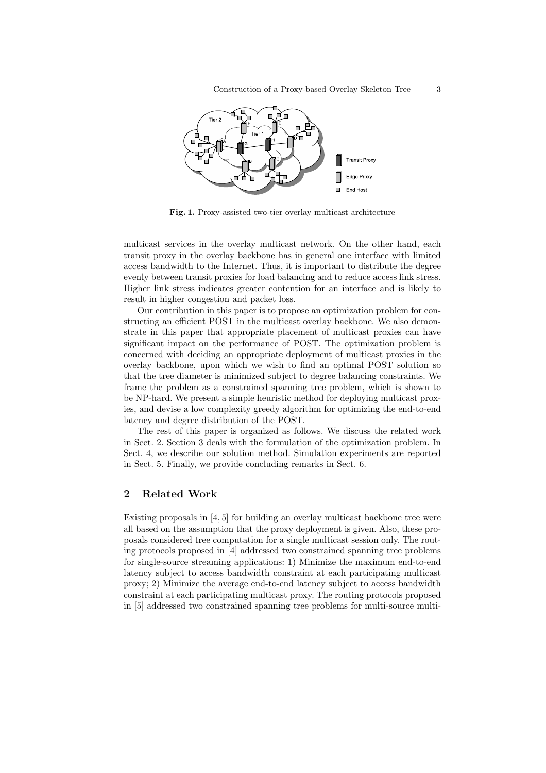

Fig. 1. Proxy-assisted two-tier overlay multicast architecture

multicast services in the overlay multicast network. On the other hand, each transit proxy in the overlay backbone has in general one interface with limited access bandwidth to the Internet. Thus, it is important to distribute the degree evenly between transit proxies for load balancing and to reduce access link stress. Higher link stress indicates greater contention for an interface and is likely to result in higher congestion and packet loss.

Our contribution in this paper is to propose an optimization problem for constructing an efficient POST in the multicast overlay backbone. We also demonstrate in this paper that appropriate placement of multicast proxies can have significant impact on the performance of POST. The optimization problem is concerned with deciding an appropriate deployment of multicast proxies in the overlay backbone, upon which we wish to find an optimal POST solution so that the tree diameter is minimized subject to degree balancing constraints. We frame the problem as a constrained spanning tree problem, which is shown to be NP-hard. We present a simple heuristic method for deploying multicast proxies, and devise a low complexity greedy algorithm for optimizing the end-to-end latency and degree distribution of the POST.

The rest of this paper is organized as follows. We discuss the related work in Sect. 2. Section 3 deals with the formulation of the optimization problem. In Sect. 4, we describe our solution method. Simulation experiments are reported in Sect. 5. Finally, we provide concluding remarks in Sect. 6.

### 2 Related Work

Existing proposals in [4, 5] for building an overlay multicast backbone tree were all based on the assumption that the proxy deployment is given. Also, these proposals considered tree computation for a single multicast session only. The routing protocols proposed in [4] addressed two constrained spanning tree problems for single-source streaming applications: 1) Minimize the maximum end-to-end latency subject to access bandwidth constraint at each participating multicast proxy; 2) Minimize the average end-to-end latency subject to access bandwidth constraint at each participating multicast proxy. The routing protocols proposed in [5] addressed two constrained spanning tree problems for multi-source multi-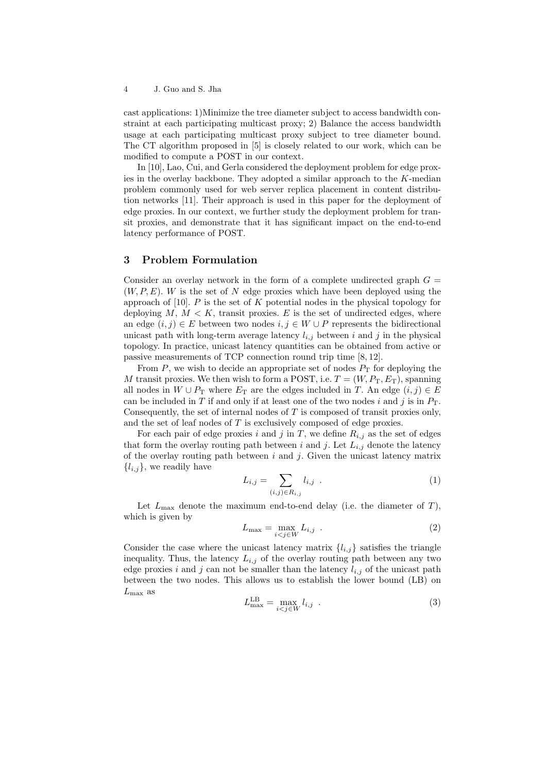cast applications: 1)Minimize the tree diameter subject to access bandwidth constraint at each participating multicast proxy; 2) Balance the access bandwidth usage at each participating multicast proxy subject to tree diameter bound. The CT algorithm proposed in [5] is closely related to our work, which can be modified to compute a POST in our context.

In [10], Lao, Cui, and Gerla considered the deployment problem for edge proxies in the overlay backbone. They adopted a similar approach to the K-median problem commonly used for web server replica placement in content distribution networks [11]. Their approach is used in this paper for the deployment of edge proxies. In our context, we further study the deployment problem for transit proxies, and demonstrate that it has significant impact on the end-to-end latency performance of POST.

### 3 Problem Formulation

Consider an overlay network in the form of a complete undirected graph  $G =$  $(W, P, E)$ . W is the set of N edge proxies which have been deployed using the approach of  $[10]$ . P is the set of K potential nodes in the physical topology for deploying  $M, M \leq K$ , transit proxies. E is the set of undirected edges, where an edge  $(i, j) \in E$  between two nodes  $i, j \in W \cup P$  represents the bidirectional unicast path with long-term average latency  $l_{i,j}$  between i and j in the physical topology. In practice, unicast latency quantities can be obtained from active or passive measurements of TCP connection round trip time [8, 12].

From P, we wish to decide an appropriate set of nodes  $P<sub>T</sub>$  for deploying the M transit proxies. We then wish to form a POST, i.e.  $T = (W, P_T, E_T)$ , spanning all nodes in  $W \cup P_T$  where  $E_T$  are the edges included in T. An edge  $(i, j) \in E$ can be included in T if and only if at least one of the two nodes i and j is in  $P_T$ . Consequently, the set of internal nodes of  $T$  is composed of transit proxies only, and the set of leaf nodes of  $T$  is exclusively composed of edge proxies.

For each pair of edge proxies i and j in T, we define  $R_{i,j}$  as the set of edges that form the overlay routing path between i and j. Let  $L_{i,j}$  denote the latency of the overlay routing path between  $i$  and  $j$ . Given the unicast latency matrix  ${l_{i,j}}$ , we readily have  $\overline{\phantom{a}}$ 

$$
L_{i,j} = \sum_{(i,j) \in R_{i,j}} l_{i,j} \tag{1}
$$

Let  $L_{\text{max}}$  denote the maximum end-to-end delay (i.e. the diameter of T), which is given by

$$
L_{\max} = \max_{i < j \in W} L_{i,j} \tag{2}
$$

Consider the case where the unicast latency matrix  $\{l_{i,j}\}$  satisfies the triangle inequality. Thus, the latency  $L_{i,j}$  of the overlay routing path between any two edge proxies i and j can not be smaller than the latency  $l_{i,j}$  of the unicast path between the two nodes. This allows us to establish the lower bound (LB) on  $L_{\rm max}$  as

$$
L_{\text{max}}^{\text{LB}} = \max_{i < j \in W} l_{i,j} \tag{3}
$$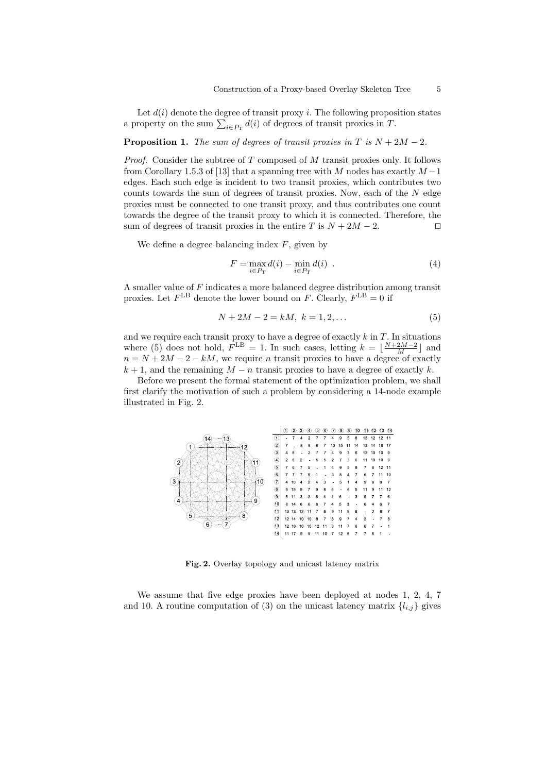Let  $d(i)$  denote the degree of transit proxy i. The following proposition states Let  $u(t)$  denote the degree of transit proxy  $t$ . The following propose<br>a property on the sum  $\sum_{i \in P_T} d(i)$  of degrees of transit proxies in T.

### **Proposition 1.** The sum of degrees of transit proxies in T is  $N + 2M - 2$ .

*Proof.* Consider the subtree of T composed of M transit proxies only. It follows from Corollary 1.5.3 of [13] that a spanning tree with M nodes has exactly  $M-1$ edges. Each such edge is incident to two transit proxies, which contributes two counts towards the sum of degrees of transit proxies. Now, each of the  $N$  edge proxies must be connected to one transit proxy, and thus contributes one count towards the degree of the transit proxy to which it is connected. Therefore, the sum of degrees of transit proxies in the entire T is  $N + 2M - 2$ .

We define a degree balancing index  $F$ , given by

$$
F = \max_{i \in P_{\mathcal{T}}} d(i) - \min_{i \in P_{\mathcal{T}}} d(i) \tag{4}
$$

A smaller value of  $F$  indicates a more balanced degree distribution among transit proxies. Let  $F^{\text{LB}}$  denote the lower bound on F. Clearly,  $F^{\text{LB}}=0$  if

$$
N + 2M - 2 = kM, \ k = 1, 2, \dots \tag{5}
$$

and we require each transit proxy to have a degree of exactly  $k$  in  $T$ . In situations where (5) does not hold,  $F^{\text{LB}} = 1$ . In such cases, letting  $k = \lfloor \frac{N+2M-2}{M} \rfloor$  and  $n = N + 2M - 2 - kM$ , we require n transit proxies to have a degree of exactly  $k + 1$ , and the remaining  $M - n$  transit proxies to have a degree of exactly k.

Before we present the formal statement of the optimization problem, we shall first clarify the motivation of such a problem by considering a 14-node example illustrated in Fig. 2.



Fig. 2. Overlay topology and unicast latency matrix

We assume that five edge proxies have been deployed at nodes 1, 2, 4, 7 and 10. A routine computation of (3) on the unicast latency matrix  $\{l_{i,j}\}$  gives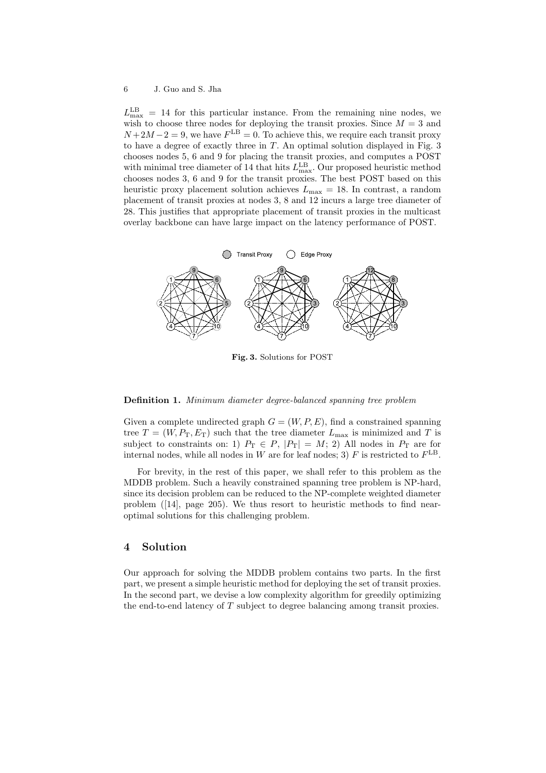$L_{\text{max}}^{\text{LB}} = 14$  for this particular instance. From the remaining nine nodes, we wish to choose three nodes for deploying the transit proxies. Since  $M = 3$  and  $N+2M-2=9$ , we have  $F^{\text{LB}}=0$ . To achieve this, we require each transit proxy to have a degree of exactly three in  $T$ . An optimal solution displayed in Fig. 3 chooses nodes 5, 6 and 9 for placing the transit proxies, and computes a POST with minimal tree diameter of 14 that hits  $L_{\text{max}}^{\text{LB}}$ . Our proposed heuristic method chooses nodes 3, 6 and 9 for the transit proxies. The best POST based on this heuristic proxy placement solution achieves  $L_{\text{max}} = 18$ . In contrast, a random placement of transit proxies at nodes 3, 8 and 12 incurs a large tree diameter of 28. This justifies that appropriate placement of transit proxies in the multicast overlay backbone can have large impact on the latency performance of POST.



Fig. 3. Solutions for POST

#### Definition 1. Minimum diameter degree-balanced spanning tree problem

Given a complete undirected graph  $G = (W, P, E)$ , find a constrained spanning tree  $T = (W, P_T, E_T)$  such that the tree diameter  $L_{\text{max}}$  is minimized and T is subject to constraints on: 1)  $P_T \in P$ ,  $|P_T| = M$ ; 2) All nodes in  $P_T$  are for internal nodes, while all nodes in W are for leaf nodes; 3)  $F$  is restricted to  $F<sup>LB</sup>$ .

For brevity, in the rest of this paper, we shall refer to this problem as the MDDB problem. Such a heavily constrained spanning tree problem is NP-hard, since its decision problem can be reduced to the NP-complete weighted diameter problem ([14], page 205). We thus resort to heuristic methods to find nearoptimal solutions for this challenging problem.

## 4 Solution

Our approach for solving the MDDB problem contains two parts. In the first part, we present a simple heuristic method for deploying the set of transit proxies. In the second part, we devise a low complexity algorithm for greedily optimizing the end-to-end latency of T subject to degree balancing among transit proxies.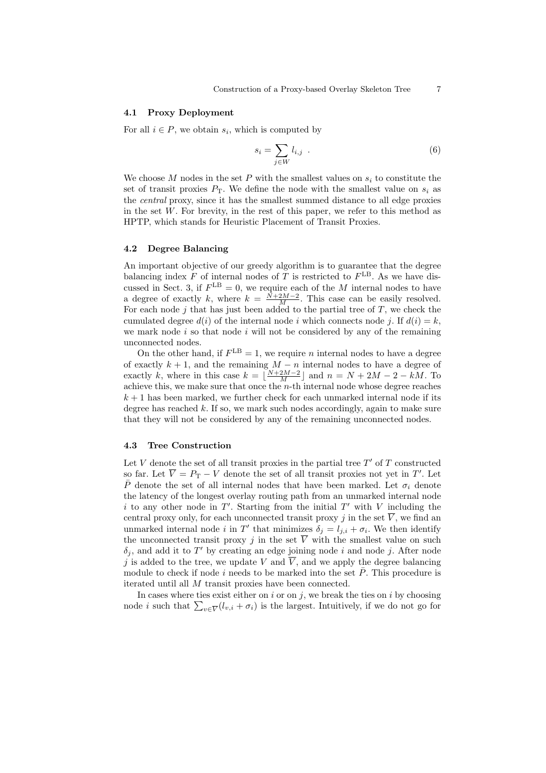#### 4.1 Proxy Deployment

For all  $i \in P$ , we obtain  $s_i$ , which is computed by

$$
s_i = \sum_{j \in W} l_{i,j} \tag{6}
$$

We choose M nodes in the set P with the smallest values on  $s_i$  to constitute the set of transit proxies  $P_T$ . We define the node with the smallest value on  $s_i$  as the central proxy, since it has the smallest summed distance to all edge proxies in the set  $W$ . For brevity, in the rest of this paper, we refer to this method as HPTP, which stands for Heuristic Placement of Transit Proxies.

#### 4.2 Degree Balancing

An important objective of our greedy algorithm is to guarantee that the degree balancing index F of internal nodes of T is restricted to  $F<sup>LB</sup>$ . As we have discussed in Sect. 3, if  $F^{\text{LB}}=0$ , we require each of the M internal nodes to have a degree of exactly k, where  $k = \frac{N+2M-2}{M}$ . This case can be easily resolved. For each node  $j$  that has just been added to the partial tree of  $T$ , we check the cumulated degree  $d(i)$  of the internal node i which connects node j. If  $d(i) = k$ , we mark node  $i$  so that node  $i$  will not be considered by any of the remaining unconnected nodes.

On the other hand, if  $F^{\text{LB}} = 1$ , we require *n* internal nodes to have a degree of exactly  $k + 1$ , and the remaining  $M - n$  internal nodes to have a degree of exactly k, where in this case  $k = \lfloor \frac{N+2M-2}{M} \rfloor$  and  $n = N + 2M - 2 - kM$ . To achieve this, we make sure that once the  $n$ -th internal node whose degree reaches  $k + 1$  has been marked, we further check for each unmarked internal node if its degree has reached  $k$ . If so, we mark such nodes accordingly, again to make sure that they will not be considered by any of the remaining unconnected nodes.

### 4.3 Tree Construction

Let  $V$  denote the set of all transit proxies in the partial tree  $T'$  of  $T$  constructed so far. Let  $\overline{V} = P_T - V$  denote the set of all transit proxies not yet in T'. Let  $\overline{P}$  denote the set of all internal nodes that have been marked. Let  $\sigma_i$  denote the latency of the longest overlay routing path from an unmarked internal node i to any other node in  $T'$ . Starting from the initial  $T'$  with V including the central proxy only, for each unconnected transit proxy j in the set  $\overline{V}$ , we find an unmarked internal node *i* in T' that minimizes  $\delta_j = l_{j,i} + \sigma_i$ . We then identify the unconnected transit proxy j in the set  $\overline{V}$  with the smallest value on such  $\delta_j$ , and add it to T' by creating an edge joining node i and node j. After node j is added to the tree, we update V and  $\overline{V}$ , and we apply the degree balancing module to check if node i needs to be marked into the set  $\overline{P}$ . This procedure is iterated until all M transit proxies have been connected.

In cases where ties exist either on i or on j, we break the ties on i by choosing In cases where the exist either on  $i$  or on  $j$ , we break the ties on  $i$  by choosing<br>node  $i$  such that  $\sum_{v \in \overline{V}} (l_{v,i} + \sigma_i)$  is the largest. Intuitively, if we do not go for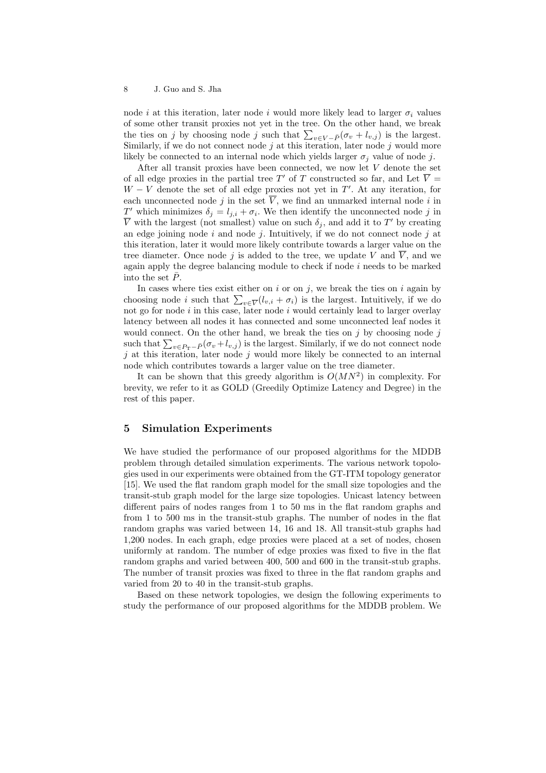node *i* at this iteration, later node *i* would more likely lead to larger  $\sigma_i$  values of some other transit proxies not yet in the tree. On the other hand, we break the ties on j by choosing node j such that  $\sum_{v \in V-\bar{P}} (\sigma_v + l_{v,j})$  is the largest. Similarly, if we do not connect node  $j$  at this iteration, later node  $j$  would more likely be connected to an internal node which yields larger  $\sigma_i$  value of node j.

After all transit proxies have been connected, we now let  $V$  denote the set of all edge proxies in the partial tree T' of T constructed so far, and Let  $\overline{V}$  =  $W - V$  denote the set of all edge proxies not yet in  $T'$ . At any iteration, for each unconnected node j in the set  $\overline{V}$ , we find an unmarked internal node i in T' which minimizes  $\delta_j = l_{j,i} + \sigma_i$ . We then identify the unconnected node j in  $\overline{V}$  with the largest (not smallest) value on such  $\delta_j$ , and add it to T' by creating an edge joining node i and node j. Intuitively, if we do not connect node j at this iteration, later it would more likely contribute towards a larger value on the tree diameter. Once node j is added to the tree, we update V and  $\overline{V}$ , and we again apply the degree balancing module to check if node i needs to be marked into the set  $\bar{P}$ .

In cases where ties exist either on  $i$  or on  $j$ , we break the ties on  $i$  again by In cases where these xist either on *i* or on *j*, we break the ties on *i* again by choosing node *i* such that  $\sum_{v \in \overline{V}} (l_{v,i} + \sigma_i)$  is the largest. Intuitively, if we do not go for node  $i$  in this case, later node  $i$  would certainly lead to larger overlay latency between all nodes it has connected and some unconnected leaf nodes it would connect. On the other hand, we break the ties on  $j$  by choosing node  $j$ would connect. On the other hand, we break the ties on *f* by choosing hode *f* such that  $\sum_{v \in P_T - \bar{P}} (\sigma_v + l_{v,j})$  is the largest. Similarly, if we do not connect node  $j$  at this iteration, later node  $j$  would more likely be connected to an internal node which contributes towards a larger value on the tree diameter.

It can be shown that this greedy algorithm is  $O(MN^2)$  in complexity. For brevity, we refer to it as GOLD (Greedily Optimize Latency and Degree) in the rest of this paper.

### 5 Simulation Experiments

We have studied the performance of our proposed algorithms for the MDDB problem through detailed simulation experiments. The various network topologies used in our experiments were obtained from the GT-ITM topology generator [15]. We used the flat random graph model for the small size topologies and the transit-stub graph model for the large size topologies. Unicast latency between different pairs of nodes ranges from 1 to 50 ms in the flat random graphs and from 1 to 500 ms in the transit-stub graphs. The number of nodes in the flat random graphs was varied between 14, 16 and 18. All transit-stub graphs had 1,200 nodes. In each graph, edge proxies were placed at a set of nodes, chosen uniformly at random. The number of edge proxies was fixed to five in the flat random graphs and varied between 400, 500 and 600 in the transit-stub graphs. The number of transit proxies was fixed to three in the flat random graphs and varied from 20 to 40 in the transit-stub graphs.

Based on these network topologies, we design the following experiments to study the performance of our proposed algorithms for the MDDB problem. We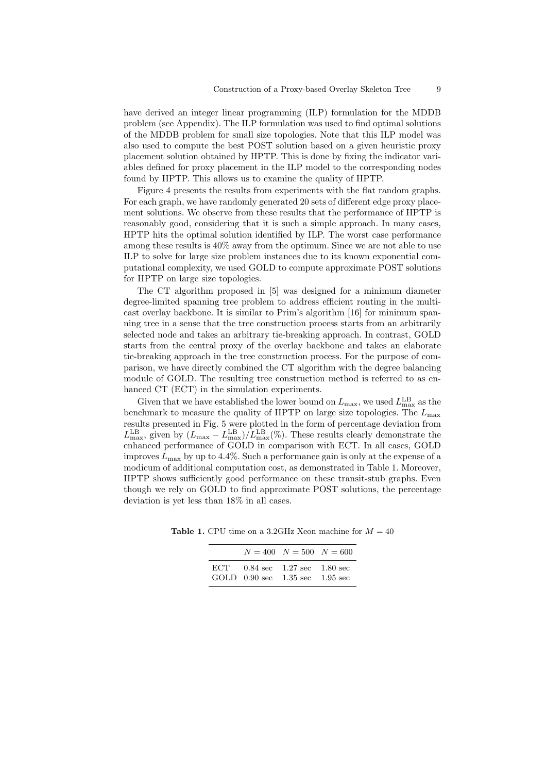have derived an integer linear programming (ILP) formulation for the MDDB problem (see Appendix). The ILP formulation was used to find optimal solutions of the MDDB problem for small size topologies. Note that this ILP model was also used to compute the best POST solution based on a given heuristic proxy placement solution obtained by HPTP. This is done by fixing the indicator variables defined for proxy placement in the ILP model to the corresponding nodes found by HPTP. This allows us to examine the quality of HPTP.

Figure 4 presents the results from experiments with the flat random graphs. For each graph, we have randomly generated 20 sets of different edge proxy placement solutions. We observe from these results that the performance of HPTP is reasonably good, considering that it is such a simple approach. In many cases, HPTP hits the optimal solution identified by ILP. The worst case performance among these results is 40% away from the optimum. Since we are not able to use ILP to solve for large size problem instances due to its known exponential computational complexity, we used GOLD to compute approximate POST solutions for HPTP on large size topologies.

The CT algorithm proposed in [5] was designed for a minimum diameter degree-limited spanning tree problem to address efficient routing in the multicast overlay backbone. It is similar to Prim's algorithm [16] for minimum spanning tree in a sense that the tree construction process starts from an arbitrarily selected node and takes an arbitrary tie-breaking approach. In contrast, GOLD starts from the central proxy of the overlay backbone and takes an elaborate tie-breaking approach in the tree construction process. For the purpose of comparison, we have directly combined the CT algorithm with the degree balancing module of GOLD. The resulting tree construction method is referred to as enhanced CT (ECT) in the simulation experiments.

Given that we have established the lower bound on  $L_{\text{max}}$ , we used  $L_{\text{max}}^{\text{LB}}$  as the benchmark to measure the quality of HPTP on large size topologies. The  $L_{\text{max}}$ results presented in Fig. 5 were plotted in the form of percentage deviation from  $L_{\text{max}}^{\text{LB}}$ , given by  $(L_{\text{max}} - L_{\text{max}}^{\text{LB}})/L_{\text{max}}^{\text{LB}}(\%)$ . These results clearly demonstrate the enhanced performance of GOLD in comparison with ECT. In all cases, GOLD improves  $L_{\text{max}}$  by up to 4.4%. Such a performance gain is only at the expense of a modicum of additional computation cost, as demonstrated in Table 1. Moreover, HPTP shows sufficiently good performance on these transit-stub graphs. Even though we rely on GOLD to find approximate POST solutions, the percentage deviation is yet less than 18% in all cases.

|                                                                               | $N = 400$ $N = 500$ $N = 600$ |  |
|-------------------------------------------------------------------------------|-------------------------------|--|
| ECT $0.84 \text{ sec}$ 1.27 sec 1.80 sec<br>$GOLD$ 0.90 sec 1.35 sec 1.95 sec |                               |  |

**Table 1.** CPU time on a 3.2GHz Xeon machine for  $M = 40$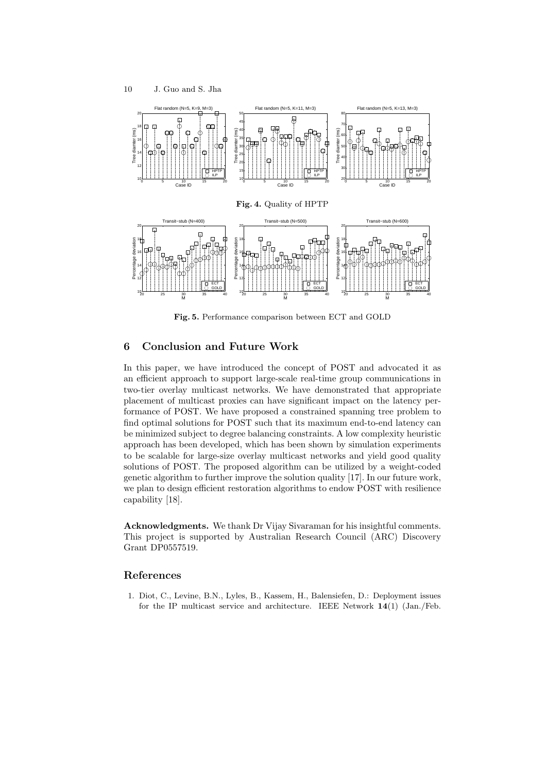

Fig. 5. Performance comparison between ECT and GOLD

## 6 Conclusion and Future Work

In this paper, we have introduced the concept of POST and advocated it as an efficient approach to support large-scale real-time group communications in two-tier overlay multicast networks. We have demonstrated that appropriate placement of multicast proxies can have significant impact on the latency performance of POST. We have proposed a constrained spanning tree problem to find optimal solutions for POST such that its maximum end-to-end latency can be minimized subject to degree balancing constraints. A low complexity heuristic approach has been developed, which has been shown by simulation experiments to be scalable for large-size overlay multicast networks and yield good quality solutions of POST. The proposed algorithm can be utilized by a weight-coded genetic algorithm to further improve the solution quality [17]. In our future work, we plan to design efficient restoration algorithms to endow POST with resilience capability [18].

Acknowledgments. We thank Dr Vijay Sivaraman for his insightful comments. This project is supported by Australian Research Council (ARC) Discovery Grant DP0557519.

#### References

1. Diot, C., Levine, B.N., Lyles, B., Kassem, H., Balensiefen, D.: Deployment issues for the IP multicast service and architecture. IEEE Network 14(1) (Jan./Feb.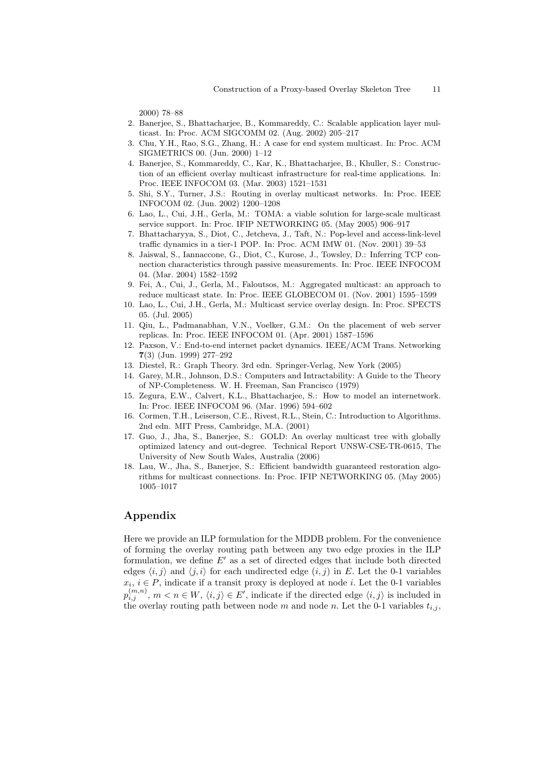2000) 78–88

- 2. Banerjee, S., Bhattacharjee, B., Kommareddy, C.: Scalable application layer multicast. In: Proc. ACM SIGCOMM 02. (Aug. 2002) 205–217
- 3. Chu, Y.H., Rao, S.G., Zhang, H.: A case for end system multicast. In: Proc. ACM SIGMETRICS 00. (Jun. 2000) 1–12
- 4. Banerjee, S., Kommareddy, C., Kar, K., Bhattacharjee, B., Khuller, S.: Construction of an efficient overlay multicast infrastructure for real-time applications. In: Proc. IEEE INFOCOM 03. (Mar. 2003) 1521–1531
- 5. Shi, S.Y., Turner, J.S.: Routing in overlay multicast networks. In: Proc. IEEE INFOCOM 02. (Jun. 2002) 1200–1208
- 6. Lao, L., Cui, J.H., Gerla, M.: TOMA: a viable solution for large-scale multicast service support. In: Proc. IFIP NETWORKING 05. (May 2005) 906–917
- 7. Bhattacharyya, S., Diot, C., Jetcheva, J., Taft, N.: Pop-level and access-link-level traffic dynamics in a tier-1 POP. In: Proc. ACM IMW 01. (Nov. 2001) 39–53
- 8. Jaiswal, S., Iannaccone, G., Diot, C., Kurose, J., Towsley, D.: Inferring TCP connection characteristics through passive measurements. In: Proc. IEEE INFOCOM 04. (Mar. 2004) 1582–1592
- 9. Fei, A., Cui, J., Gerla, M., Faloutsos, M.: Aggregated multicast: an approach to reduce multicast state. In: Proc. IEEE GLOBECOM 01. (Nov. 2001) 1595–1599
- 10. Lao, L., Cui, J.H., Gerla, M.: Multicast service overlay design. In: Proc. SPECTS 05. (Jul. 2005)
- 11. Qiu, L., Padmanabhan, V.N., Voelker, G.M.: On the placement of web server replicas. In: Proc. IEEE INFOCOM 01. (Apr. 2001) 1587–1596
- 12. Paxson, V.: End-to-end internet packet dynamics. IEEE/ACM Trans. Networking 7(3) (Jun. 1999) 277–292
- 13. Diestel, R.: Graph Theory. 3rd edn. Springer-Verlag, New York (2005)
- 14. Garey, M.R., Johnson, D.S.: Computers and Intractability: A Guide to the Theory of NP-Completeness. W. H. Freeman, San Francisco (1979)
- 15. Zegura, E.W., Calvert, K.L., Bhattacharjee, S.: How to model an internetwork. In: Proc. IEEE INFOCOM 96. (Mar. 1996) 594–602
- 16. Cormen, T.H., Leiserson, C.E., Rivest, R.L., Stein, C.: Introduction to Algorithms. 2nd edn. MIT Press, Cambridge, M.A. (2001)
- 17. Guo, J., Jha, S., Banerjee, S.: GOLD: An overlay multicast tree with globally optimized latency and out-degree. Technical Report UNSW-CSE-TR-0615, The University of New South Wales, Australia (2006)
- 18. Lau, W., Jha, S., Banerjee, S.: Efficient bandwidth guaranteed restoration algorithms for multicast connections. In: Proc. IFIP NETWORKING 05. (May 2005) 1005–1017

## Appendix

Here we provide an ILP formulation for the MDDB problem. For the convenience of forming the overlay routing path between any two edge proxies in the ILP formulation, we define  $E'$  as a set of directed edges that include both directed edges  $\langle i, j \rangle$  and  $\langle j, i \rangle$  for each undirected edge  $(i, j)$  in E. Let the 0-1 variables  $x_i, i \in P$ , indicate if a transit proxy is deployed at node *i*. Let the 0-1 variables  $p_{i,j}^{(m,n)}, m \leq n \in W, \langle i,j \rangle \in E',$  indicate if the directed edge  $\langle i,j \rangle$  is included in the overlay routing path between node m and node n. Let the 0-1 variables  $t_{i,j}$ ,